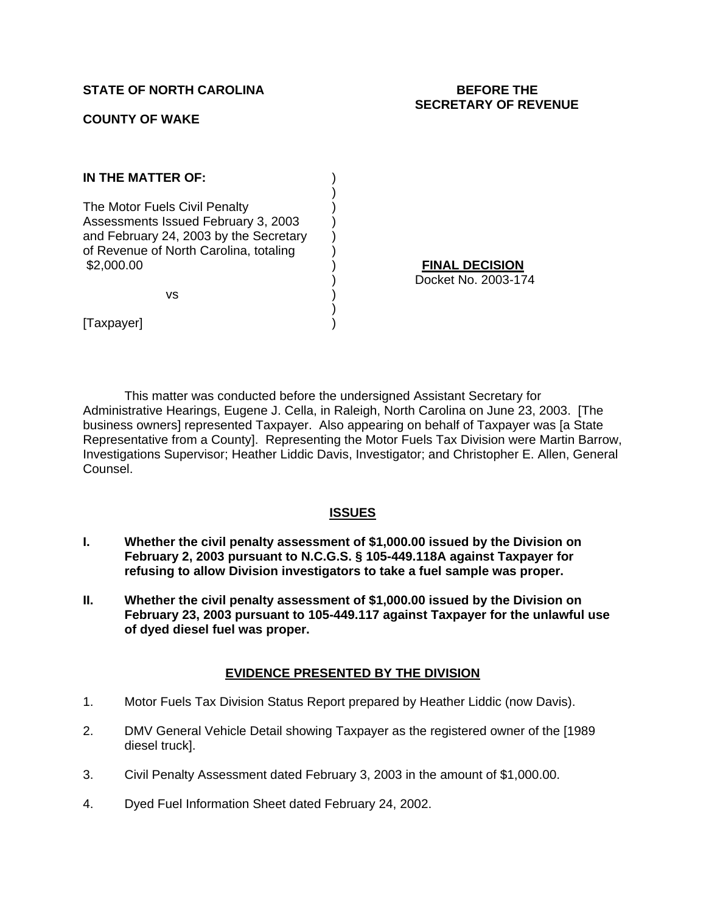## **STATE OF NORTH CAROLINA BEFORE THE**

## **COUNTY OF WAKE**

# **SECRETARY OF REVENUE**

| IN THE MATTER OF:                                                                                                                                                      |        |
|------------------------------------------------------------------------------------------------------------------------------------------------------------------------|--------|
| The Motor Fuels Civil Penalty<br>Assessments Issued February 3, 2003<br>and February 24, 2003 by the Secretary<br>of Revenue of North Carolina, totaling<br>\$2,000.00 | Docket |
| vs                                                                                                                                                                     |        |
| axpayer                                                                                                                                                                |        |

<u>**DECISION</u>**</u> No. 2003-174

This matter was conducted before the undersigned Assistant Secretary for Administrative Hearings, Eugene J. Cella, in Raleigh, North Carolina on June 23, 2003. [The business owners] represented Taxpayer. Also appearing on behalf of Taxpayer was [a State Representative from a County]. Representing the Motor Fuels Tax Division were Martin Barrow, Investigations Supervisor; Heather Liddic Davis, Investigator; and Christopher E. Allen, General Counsel.

#### **ISSUES**

- **I. Whether the civil penalty assessment of \$1,000.00 issued by the Division on February 2, 2003 pursuant to N.C.G.S. § 105-449.118A against Taxpayer for refusing to allow Division investigators to take a fuel sample was proper.**
- **II. Whether the civil penalty assessment of \$1,000.00 issued by the Division on February 23, 2003 pursuant to 105-449.117 against Taxpayer for the unlawful use of dyed diesel fuel was proper.**

#### **EVIDENCE PRESENTED BY THE DIVISION**

- 1. Motor Fuels Tax Division Status Report prepared by Heather Liddic (now Davis).
- 2. DMV General Vehicle Detail showing Taxpayer as the registered owner of the [1989 diesel truck].
- 3. Civil Penalty Assessment dated February 3, 2003 in the amount of \$1,000.00.
- 4. Dyed Fuel Information Sheet dated February 24, 2002.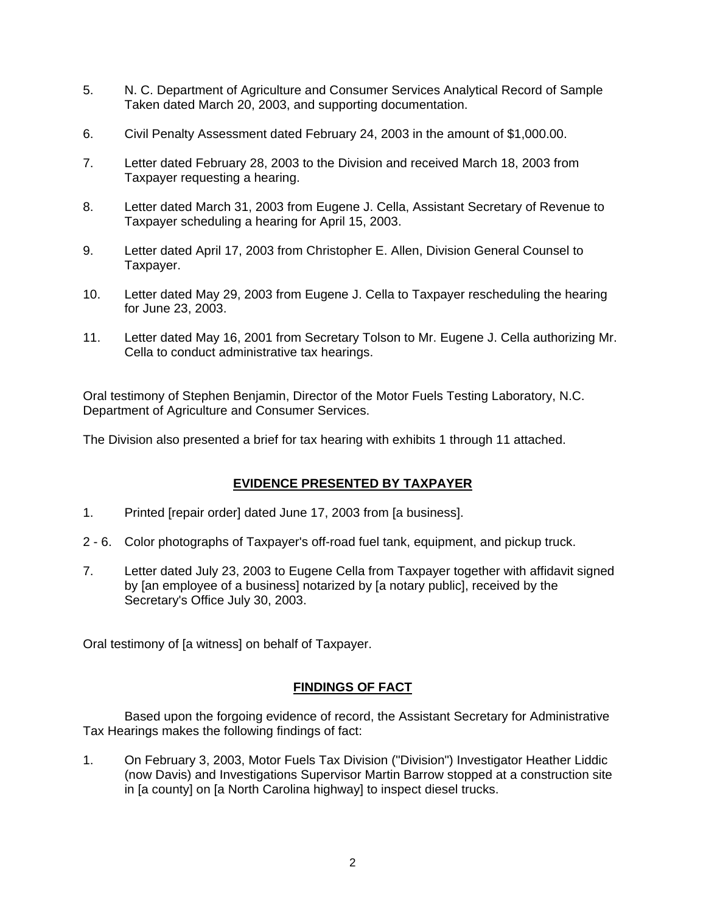- 5. N. C. Department of Agriculture and Consumer Services Analytical Record of Sample Taken dated March 20, 2003, and supporting documentation.
- 6. Civil Penalty Assessment dated February 24, 2003 in the amount of \$1,000.00.
- 7. Letter dated February 28, 2003 to the Division and received March 18, 2003 from Taxpayer requesting a hearing.
- 8. Letter dated March 31, 2003 from Eugene J. Cella, Assistant Secretary of Revenue to Taxpayer scheduling a hearing for April 15, 2003.
- 9. Letter dated April 17, 2003 from Christopher E. Allen, Division General Counsel to Taxpayer.
- 10. Letter dated May 29, 2003 from Eugene J. Cella to Taxpayer rescheduling the hearing for June 23, 2003.
- 11. Letter dated May 16, 2001 from Secretary Tolson to Mr. Eugene J. Cella authorizing Mr. Cella to conduct administrative tax hearings.

Oral testimony of Stephen Benjamin, Director of the Motor Fuels Testing Laboratory, N.C. Department of Agriculture and Consumer Services.

The Division also presented a brief for tax hearing with exhibits 1 through 11 attached.

# **EVIDENCE PRESENTED BY TAXPAYER**

- 1. Printed [repair order] dated June 17, 2003 from [a business].
- 2 6. Color photographs of Taxpayer's off-road fuel tank, equipment, and pickup truck.
- 7. Letter dated July 23, 2003 to Eugene Cella from Taxpayer together with affidavit signed by [an employee of a business] notarized by [a notary public], received by the Secretary's Office July 30, 2003.

Oral testimony of [a witness] on behalf of Taxpayer.

# **FINDINGS OF FACT**

 Based upon the forgoing evidence of record, the Assistant Secretary for Administrative Tax Hearings makes the following findings of fact:

1. On February 3, 2003, Motor Fuels Tax Division ("Division") Investigator Heather Liddic (now Davis) and Investigations Supervisor Martin Barrow stopped at a construction site in [a county] on [a North Carolina highway] to inspect diesel trucks.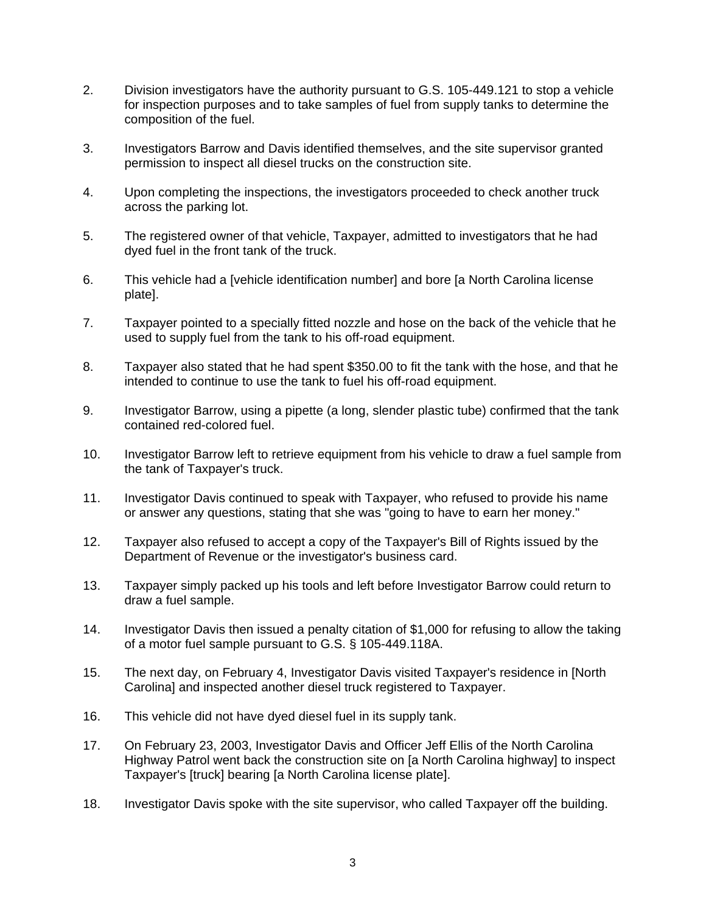- 2. Division investigators have the authority pursuant to G.S. 105-449.121 to stop a vehicle for inspection purposes and to take samples of fuel from supply tanks to determine the composition of the fuel.
- 3. Investigators Barrow and Davis identified themselves, and the site supervisor granted permission to inspect all diesel trucks on the construction site.
- 4. Upon completing the inspections, the investigators proceeded to check another truck across the parking lot.
- 5. The registered owner of that vehicle, Taxpayer, admitted to investigators that he had dyed fuel in the front tank of the truck.
- 6. This vehicle had a [vehicle identification number] and bore [a North Carolina license plate].
- 7. Taxpayer pointed to a specially fitted nozzle and hose on the back of the vehicle that he used to supply fuel from the tank to his off-road equipment.
- 8. Taxpayer also stated that he had spent \$350.00 to fit the tank with the hose, and that he intended to continue to use the tank to fuel his off-road equipment.
- 9. Investigator Barrow, using a pipette (a long, slender plastic tube) confirmed that the tank contained red-colored fuel.
- 10. Investigator Barrow left to retrieve equipment from his vehicle to draw a fuel sample from the tank of Taxpayer's truck.
- 11. Investigator Davis continued to speak with Taxpayer, who refused to provide his name or answer any questions, stating that she was "going to have to earn her money."
- 12. Taxpayer also refused to accept a copy of the Taxpayer's Bill of Rights issued by the Department of Revenue or the investigator's business card.
- 13. Taxpayer simply packed up his tools and left before Investigator Barrow could return to draw a fuel sample.
- 14. Investigator Davis then issued a penalty citation of \$1,000 for refusing to allow the taking of a motor fuel sample pursuant to G.S. § 105-449.118A.
- 15. The next day, on February 4, Investigator Davis visited Taxpayer's residence in [North Carolina] and inspected another diesel truck registered to Taxpayer.
- 16. This vehicle did not have dyed diesel fuel in its supply tank.
- 17. On February 23, 2003, Investigator Davis and Officer Jeff Ellis of the North Carolina Highway Patrol went back the construction site on [a North Carolina highway] to inspect Taxpayer's [truck] bearing [a North Carolina license plate].
- 18. Investigator Davis spoke with the site supervisor, who called Taxpayer off the building.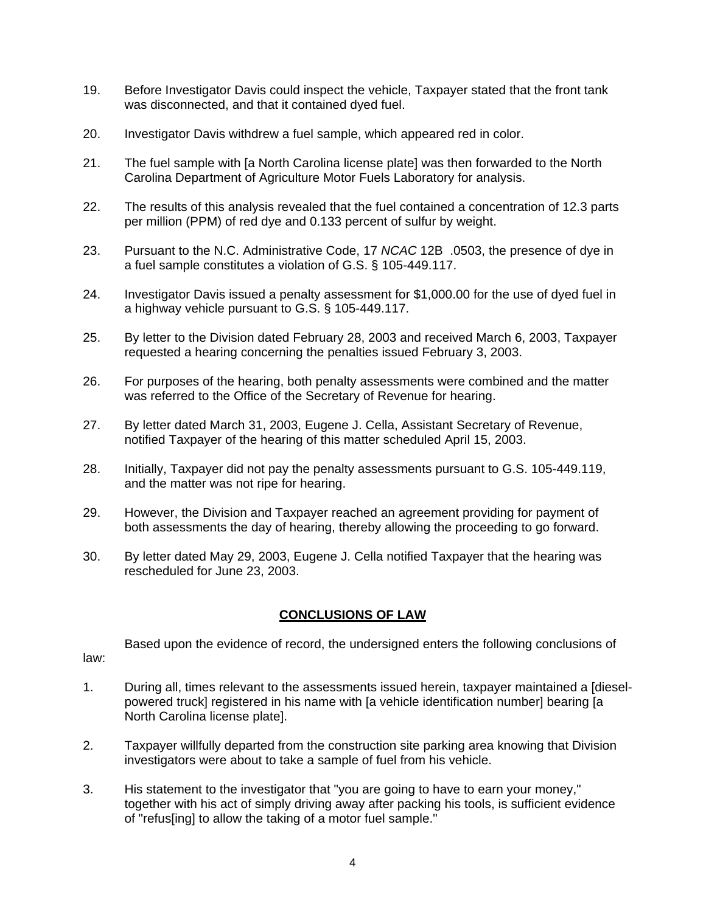- 19. Before Investigator Davis could inspect the vehicle, Taxpayer stated that the front tank was disconnected, and that it contained dyed fuel.
- 20. Investigator Davis withdrew a fuel sample, which appeared red in color.
- 21. The fuel sample with [a North Carolina license plate] was then forwarded to the North Carolina Department of Agriculture Motor Fuels Laboratory for analysis.
- 22. The results of this analysis revealed that the fuel contained a concentration of 12.3 parts per million (PPM) of red dye and 0.133 percent of sulfur by weight.
- 23. Pursuant to the N.C. Administrative Code, 17 *NCAC* 12B .0503, the presence of dye in a fuel sample constitutes a violation of G.S. § 105-449.117.
- 24. Investigator Davis issued a penalty assessment for \$1,000.00 for the use of dyed fuel in a highway vehicle pursuant to G.S. § 105-449.117.
- 25. By letter to the Division dated February 28, 2003 and received March 6, 2003, Taxpayer requested a hearing concerning the penalties issued February 3, 2003.
- 26. For purposes of the hearing, both penalty assessments were combined and the matter was referred to the Office of the Secretary of Revenue for hearing.
- 27. By letter dated March 31, 2003, Eugene J. Cella, Assistant Secretary of Revenue, notified Taxpayer of the hearing of this matter scheduled April 15, 2003.
- 28. Initially, Taxpayer did not pay the penalty assessments pursuant to G.S. 105-449.119, and the matter was not ripe for hearing.
- 29. However, the Division and Taxpayer reached an agreement providing for payment of both assessments the day of hearing, thereby allowing the proceeding to go forward.
- 30. By letter dated May 29, 2003, Eugene J. Cella notified Taxpayer that the hearing was rescheduled for June 23, 2003.

## **CONCLUSIONS OF LAW**

Based upon the evidence of record, the undersigned enters the following conclusions of law:

1. During all, times relevant to the assessments issued herein, taxpayer maintained a [dieselpowered truck] registered in his name with [a vehicle identification number] bearing [a North Carolina license plate].

- 2. Taxpayer willfully departed from the construction site parking area knowing that Division investigators were about to take a sample of fuel from his vehicle.
- 3. His statement to the investigator that "you are going to have to earn your money," together with his act of simply driving away after packing his tools, is sufficient evidence of "refus[ing] to allow the taking of a motor fuel sample."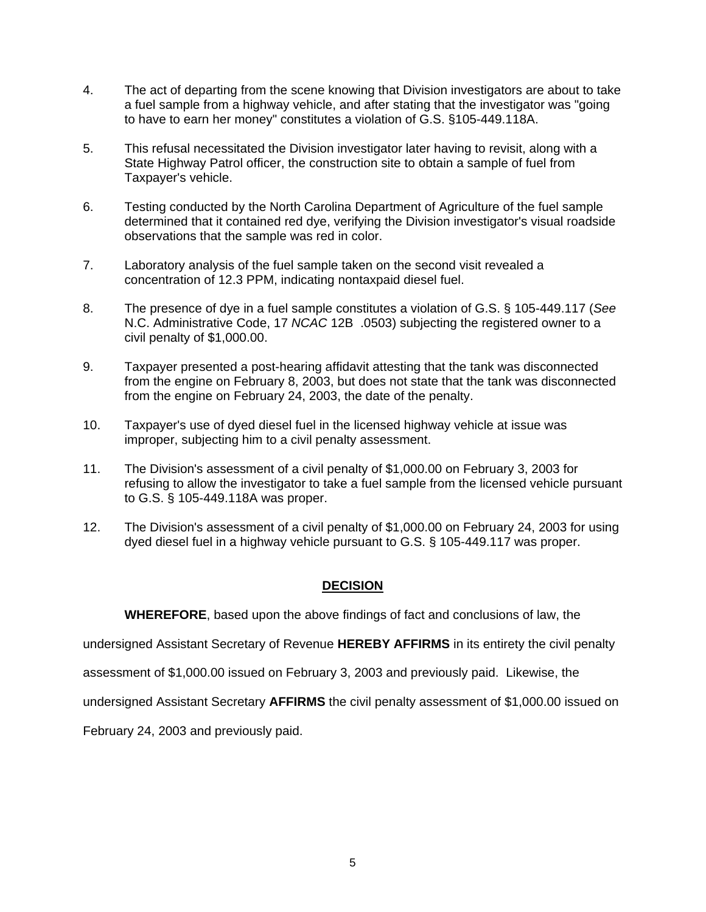- 4. The act of departing from the scene knowing that Division investigators are about to take a fuel sample from a highway vehicle, and after stating that the investigator was "going to have to earn her money" constitutes a violation of G.S. §105-449.118A.
- 5. This refusal necessitated the Division investigator later having to revisit, along with a State Highway Patrol officer, the construction site to obtain a sample of fuel from Taxpayer's vehicle.
- 6. Testing conducted by the North Carolina Department of Agriculture of the fuel sample determined that it contained red dye, verifying the Division investigator's visual roadside observations that the sample was red in color.
- 7. Laboratory analysis of the fuel sample taken on the second visit revealed a concentration of 12.3 PPM, indicating nontaxpaid diesel fuel.
- 8. The presence of dye in a fuel sample constitutes a violation of G.S. § 105-449.117 (*See* N.C. Administrative Code, 17 *NCAC* 12B .0503) subjecting the registered owner to a civil penalty of \$1,000.00.
- 9. Taxpayer presented a post-hearing affidavit attesting that the tank was disconnected from the engine on February 8, 2003, but does not state that the tank was disconnected from the engine on February 24, 2003, the date of the penalty.
- 10. Taxpayer's use of dyed diesel fuel in the licensed highway vehicle at issue was improper, subjecting him to a civil penalty assessment.
- 11. The Division's assessment of a civil penalty of \$1,000.00 on February 3, 2003 for refusing to allow the investigator to take a fuel sample from the licensed vehicle pursuant to G.S. § 105-449.118A was proper.
- 12. The Division's assessment of a civil penalty of \$1,000.00 on February 24, 2003 for using dyed diesel fuel in a highway vehicle pursuant to G.S. § 105-449.117 was proper.

# **DECISION**

**WHEREFORE**, based upon the above findings of fact and conclusions of law, the

undersigned Assistant Secretary of Revenue **HEREBY AFFIRMS** in its entirety the civil penalty

assessment of \$1,000.00 issued on February 3, 2003 and previously paid. Likewise, the

undersigned Assistant Secretary **AFFIRMS** the civil penalty assessment of \$1,000.00 issued on

February 24, 2003 and previously paid.